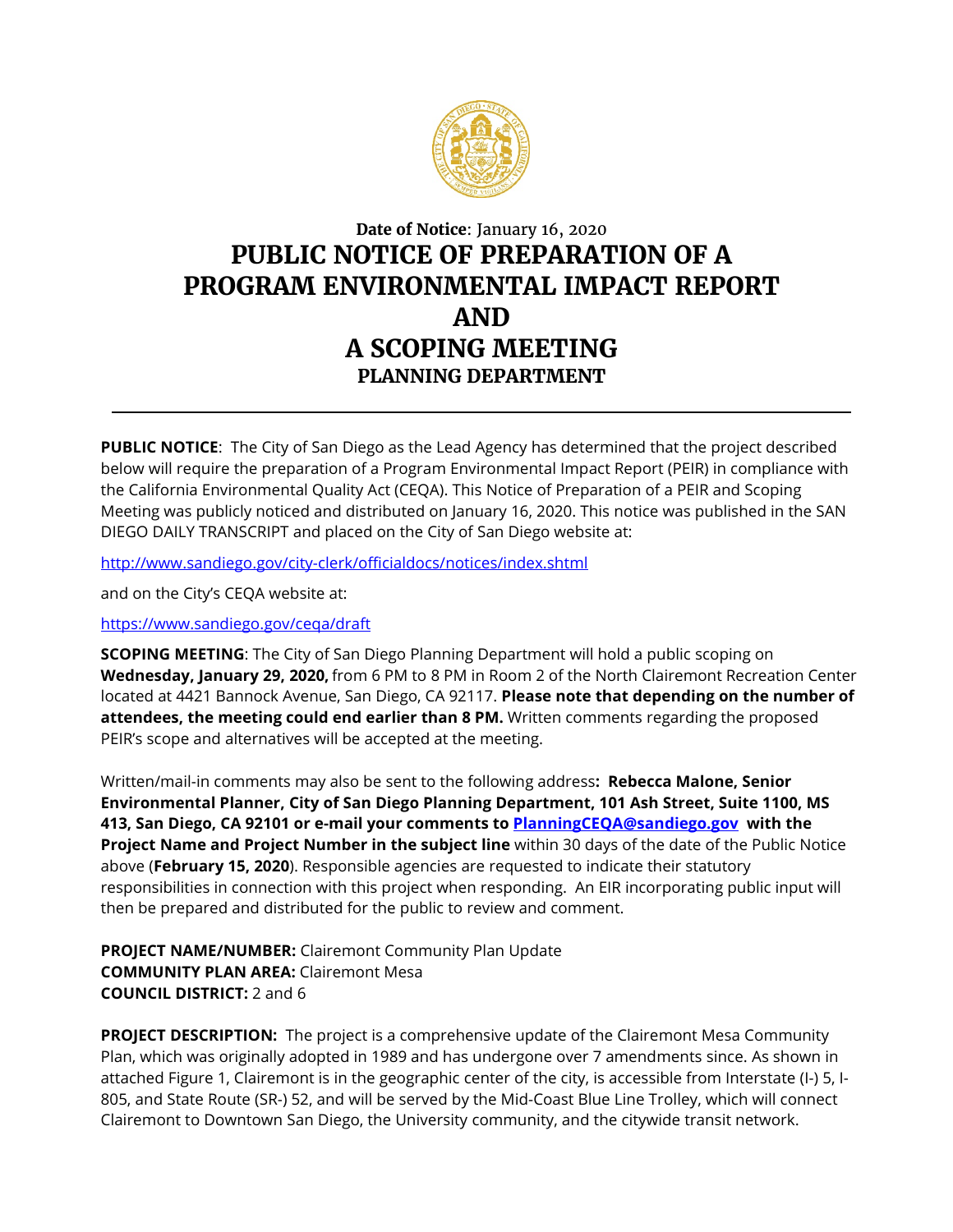

## **Date of Notice**: January 16, 2020 **PUBLIC NOTICE OF PREPARATION OF A PROGRAM ENVIRONMENTAL IMPACT REPORT AND A SCOPING MEETING PLANNING DEPARTMENT**

**PUBLIC NOTICE**: The City of San Diego as the Lead Agency has determined that the project described below will require the preparation of a Program Environmental Impact Report (PEIR) in compliance with the California Environmental Quality Act (CEQA). This Notice of Preparation of a PEIR and Scoping Meeting was publicly noticed and distributed on January 16, 2020. This notice was published in the SAN DIEGO DAILY TRANSCRIPT and placed on the City of San Diego website at:

<http://www.sandiego.gov/city-clerk/officialdocs/notices/index.shtml>

and on the City's CEQA website at:

## <https://www.sandiego.gov/ceqa/draft>

**SCOPING MEETING**: The City of San Diego Planning Department will hold a public scoping on **Wednesday, January 29, 2020,** from 6 PM to 8 PM in Room 2 of the North Clairemont Recreation Center located at 4421 Bannock Avenue, San Diego, CA 92117. **Please note that depending on the number of attendees, the meeting could end earlier than 8 PM.** Written comments regarding the proposed PEIR's scope and alternatives will be accepted at the meeting.

Written/mail-in comments may also be sent to the following address**: Rebecca Malone, Senior Environmental Planner, City of San Diego Planning Department, 101 Ash Street, Suite 1100, MS 413, San Diego, CA 92101 or e-mail your comments to [PlanningCEQA@sandiego.gov](mailto:PlanningCEQA@sandiego.gov) with the Project Name and Project Number in the subject line** within 30 days of the date of the Public Notice above (**February 15, 2020**). Responsible agencies are requested to indicate their statutory responsibilities in connection with this project when responding. An EIR incorporating public input will then be prepared and distributed for the public to review and comment.

**PROJECT NAME/NUMBER:** Clairemont Community Plan Update **COMMUNITY PLAN AREA:** Clairemont Mesa **COUNCIL DISTRICT:** 2 and 6

**PROJECT DESCRIPTION:** The project is a comprehensive update of the Clairemont Mesa Community Plan, which was originally adopted in 1989 and has undergone over 7 amendments since. As shown in attached Figure 1, Clairemont is in the geographic center of the city, is accessible from Interstate (I-) 5, I-805, and State Route (SR-) 52, and will be served by the Mid-Coast Blue Line Trolley, which will connect Clairemont to Downtown San Diego, the University community, and the citywide transit network.